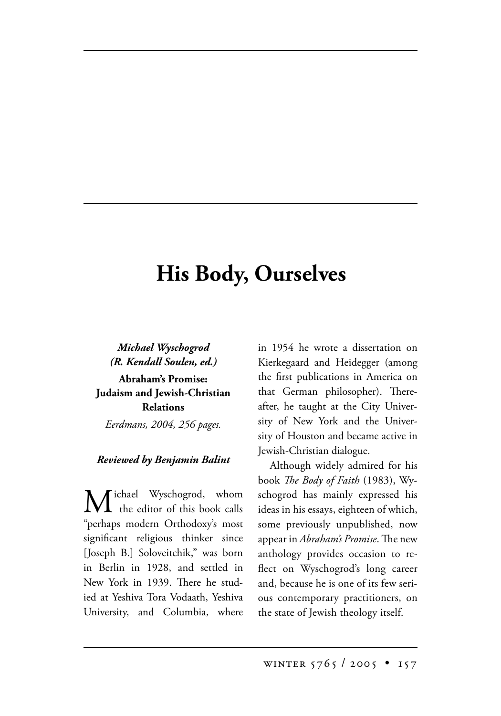## **His Body, Ourselves**

*Michael Wyschogrod (R. Kendall Soulen, ed.)* **Abraham's Promise: Judaism and Jewish-Christian Relations** *Eerdmans, 2004, 256 pages.*

## *Reviewed by Benjamin Balint*

[ichael Wyschogrod, whom  $\mathbf I$  the editor of this book calls "perhaps modern Orthodoxy's most significant religious thinker since [Joseph B.] Soloveitchik," was born in Berlin in 1928, and settled in New York in 1939. There he studied at Yeshiva Tora Vodaath, Yeshiva University, and Columbia, where in 1954 he wrote a dissertation on Kierkegaard and Heidegger (among the first publications in America on that German philosopher). Thereafter, he taught at the City University of New York and the University of Houston and became active in Jewish-Christian dialogue.

Although widely admired for his book *The Body of Faith* (1983), Wyschogrod has mainly expressed his ideas in his essays, eighteen of which, some previously unpublished, now appear in *Abraham's Promise*. The new anthology provides occasion to reflect on Wyschogrod's long career and, because he is one of its few serious contemporary practitioners, on the state of Jewish theology itself.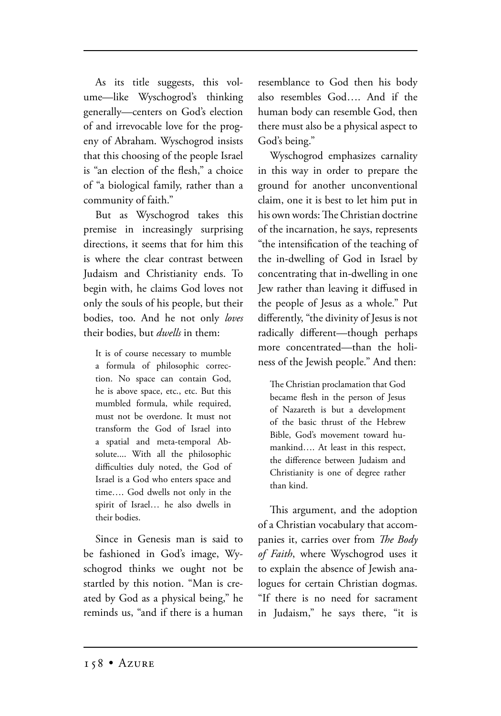As its title suggests, this volume—like Wyschogrod's thinking generally—centers on God's election of and irrevocable love for the progeny of Abraham. Wyschogrod insists that this choosing of the people Israel is "an election of the flesh," a choice of "a biological family, rather than a community of faith."

But as Wyschogrod takes this premise in increasingly surprising directions, it seems that for him this is where the clear contrast between Judaism and Christianity ends. To begin with, he claims God loves not only the souls of his people, but their bodies, too. And he not only *loves* their bodies, but *dwells* in them:

It is of course necessary to mumble a formula of philosophic correction. No space can contain God, he is above space, etc., etc. But this mumbled formula, while required, must not be overdone. It must not transform the God of Israel into a spatial and meta-temporal Absolute.... With all the philosophic difficulties duly noted, the God of Israel is a God who enters space and time…. God dwells not only in the spirit of Israel… he also dwells in their bodies.

Since in Genesis man is said to be fashioned in God's image, Wyschogrod thinks we ought not be startled by this notion. "Man is created by God as a physical being," he reminds us, "and if there is a human resemblance to God then his body also resembles God…. And if the human body can resemble God, then there must also be a physical aspect to God's being."

Wyschogrod emphasizes carnality in this way in order to prepare the ground for another unconventional claim, one it is best to let him put in his own words: The Christian doctrine of the incarnation, he says, represents "the intensification of the teaching of the in-dwelling of God in Israel by concentrating that in-dwelling in one Jew rather than leaving it diffused in the people of Jesus as a whole." Put differently, "the divinity of Jesus is not radically different—though perhaps more concentrated—than the holiness of the Jewish people." And then:

The Christian proclamation that God became flesh in the person of Jesus of Nazareth is but a development of the basic thrust of the Hebrew Bible, God's movement toward humankind…. At least in this respect, the difference between Judaism and Christianity is one of degree rather than kind.

This argument, and the adoption of a Christian vocabulary that accompanies it, carries over from *The Body of Faith*, where Wyschogrod uses it to explain the absence of Jewish analogues for certain Christian dogmas. "If there is no need for sacrament in Judaism," he says there, "it is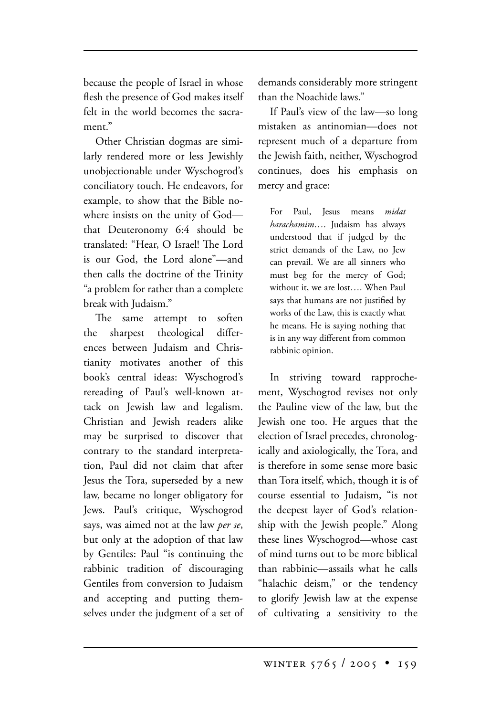because the people of Israel in whose flesh the presence of God makes itself felt in the world becomes the sacrament<sup>"</sup>

Other Christian dogmas are similarly rendered more or less Jewishly unobjectionable under Wyschogrod's conciliatory touch. He endeavors, for example, to show that the Bible nowhere insists on the unity of God that Deuteronomy 6:4 should be translated: "Hear, O Israel! The Lord is our God, the Lord alone"—and then calls the doctrine of the Trinity "a problem for rather than a complete break with Judaism."

The same attempt to soften the sharpest theological differences between Judaism and Christianity motivates another of this book's central ideas: Wyschogrod's rereading of Paul's well-known attack on Jewish law and legalism. Christian and Jewish readers alike may be surprised to discover that contrary to the standard interpretation, Paul did not claim that after Jesus the Tora, superseded by a new law, became no longer obligatory for Jews. Paul's critique, Wyschogrod says, was aimed not at the law *per se*, but only at the adoption of that law by Gentiles: Paul "is continuing the rabbinic tradition of discouraging Gentiles from conversion to Judaism and accepting and putting themselves under the judgment of a set of demands considerably more stringent than the Noachide laws."

If Paul's view of the law—so long mistaken as antinomian—does not represent much of a departure from the Jewish faith, neither, Wyschogrod continues, does his emphasis on mercy and grace:

For Paul, Jesus means *midat harachamim*…. Judaism has always understood that if judged by the strict demands of the Law, no Jew can prevail. We are all sinners who must beg for the mercy of God; without it, we are lost…. When Paul says that humans are not justified by works of the Law, this is exactly what he means. He is saying nothing that is in any way different from common rabbinic opinion.

In striving toward rapprochement, Wyschogrod revises not only the Pauline view of the law, but the Jewish one too. He argues that the election of Israel precedes, chronologically and axiologically, the Tora, and is therefore in some sense more basic than Tora itself, which, though it is of course essential to Judaism, "is not the deepest layer of God's relationship with the Jewish people." Along these lines Wyschogrod—whose cast of mind turns out to be more biblical than rabbinic—assails what he calls "halachic deism," or the tendency to glorify Jewish law at the expense of cultivating a sensitivity to the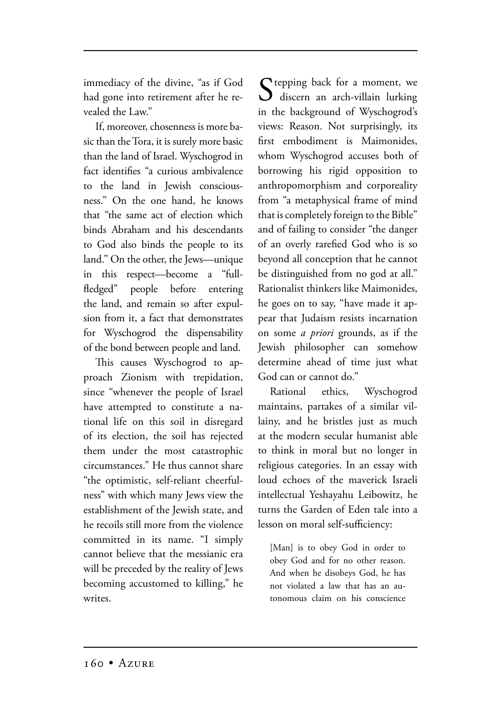immediacy of the divine, "as if God had gone into retirement after he revealed the Law."

If, moreover, chosenness is more basic than the Tora, it is surely more basic than the land of Israel. Wyschogrod in fact identifies "a curious ambivalence to the land in Jewish consciousness." On the one hand, he knows that "the same act of election which binds Abraham and his descendants to God also binds the people to its land." On the other, the Jews—unique in this respect—become a "fullfledged" people before entering the land, and remain so after expulsion from it, a fact that demonstrates for Wyschogrod the dispensability of the bond between people and land.

This causes Wyschogrod to approach Zionism with trepidation, since "whenever the people of Israel have attempted to constitute a national life on this soil in disregard of its election, the soil has rejected them under the most catastrophic circumstances." He thus cannot share "the optimistic, self-reliant cheerfulness" with which many Jews view the establishment of the Jewish state, and he recoils still more from the violence committed in its name. "I simply cannot believe that the messianic era will be preceded by the reality of Jews becoming accustomed to killing," he writes.

 $S$  tepping back for a moment, we discern an arch-villain lurking in the background of Wyschogrod's views: Reason. Not surprisingly, its first embodiment is Maimonides, whom Wyschogrod accuses both of borrowing his rigid opposition to anthropomorphism and corporeality from "a metaphysical frame of mind that is completely foreign to the Bible" and of failing to consider "the danger of an overly rarefied God who is so beyond all conception that he cannot be distinguished from no god at all." Rationalist thinkers like Maimonides, he goes on to say, "have made it appear that Judaism resists incarnation on some *a priori* grounds, as if the Jewish philosopher can somehow determine ahead of time just what God can or cannot do."

Rational ethics, Wyschogrod maintains, partakes of a similar villainy, and he bristles just as much at the modern secular humanist able to think in moral but no longer in religious categories. In an essay with loud echoes of the maverick Israeli intellectual Yeshayahu Leibowitz, he turns the Garden of Eden tale into a lesson on moral self-sufficiency:

[Man] is to obey God in order to obey God and for no other reason. And when he disobeys God, he has not violated a law that has an autonomous claim on his conscience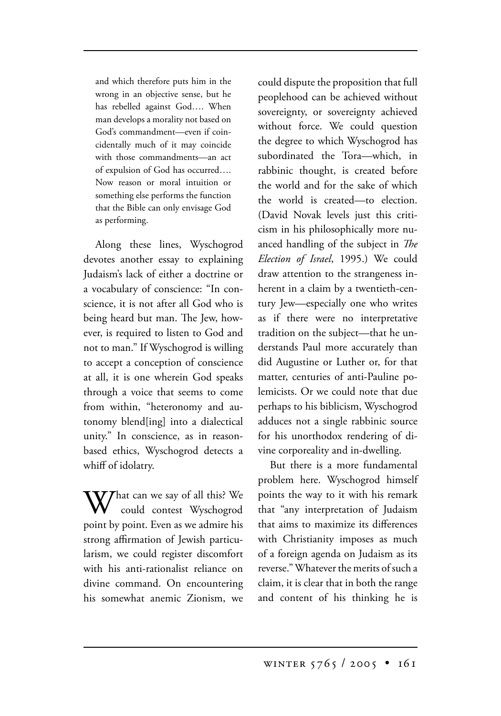and which therefore puts him in the wrong in an objective sense, but he has rebelled against God…. When man develops a morality not based on God's commandment—even if coincidentally much of it may coincide with those commandments—an act of expulsion of God has occurred…. Now reason or moral intuition or something else performs the function that the Bible can only envisage God as performing.

Along these lines, Wyschogrod devotes another essay to explaining Judaism's lack of either a doctrine or a vocabulary of conscience: "In conscience, it is not after all God who is being heard but man. The Jew, however, is required to listen to God and not to man." If Wyschogrod is willing to accept a conception of conscience at all, it is one wherein God speaks through a voice that seems to come from within, "heteronomy and autonomy blend[ing] into a dialectical unity." In conscience, as in reasonbased ethics, Wyschogrod detects a whiff of idolatry.

That can we say of all this? We could contest Wyschogrod point by point. Even as we admire his strong affirmation of Jewish particularism, we could register discomfort with his anti-rationalist reliance on divine command. On encountering his somewhat anemic Zionism, we could dispute the proposition that full peoplehood can be achieved without sovereignty, or sovereignty achieved without force. We could question the degree to which Wyschogrod has subordinated the Tora—which, in rabbinic thought, is created before the world and for the sake of which the world is created—to election. (David Novak levels just this criticism in his philosophically more nuanced handling of the subject in *The Election of Israel*, 1995.) We could draw attention to the strangeness inherent in a claim by a twentieth-century Jew—especially one who writes as if there were no interpretative tradition on the subject—that he understands Paul more accurately than did Augustine or Luther or, for that matter, centuries of anti-Pauline polemicists. Or we could note that due perhaps to his biblicism, Wyschogrod adduces not a single rabbinic source for his unorthodox rendering of divine corporeality and in-dwelling.

But there is a more fundamental problem here. Wyschogrod himself points the way to it with his remark that "any interpretation of Judaism that aims to maximize its differences with Christianity imposes as much of a foreign agenda on Judaism as its reverse." Whatever the merits of such a claim, it is clear that in both the range and content of his thinking he is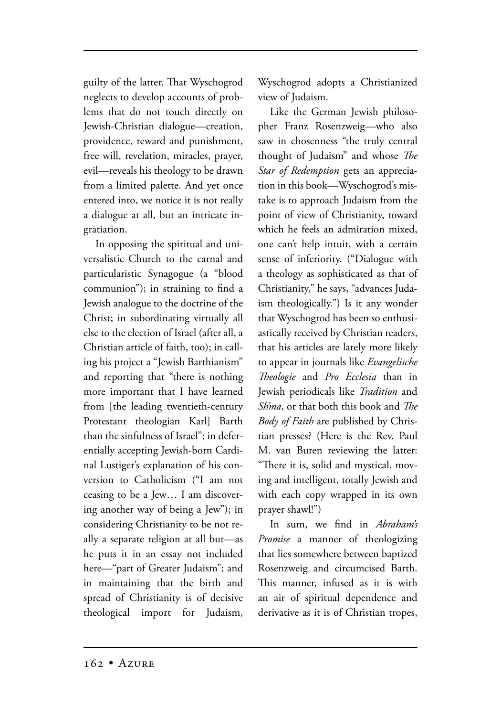guilty of the latter. That Wyschogrod neglects to develop accounts of problems that do not touch directly on Jewish-Christian dialogue—creation, providence, reward and punishment, free will, revelation, miracles, prayer, evil—reveals his theology to be drawn from a limited palette. And yet once entered into, we notice it is not really a dialogue at all, but an intricate ingratiation.

In opposing the spiritual and universalistic Church to the carnal and particularistic Synagogue (a "blood communion"); in straining to find a Jewish analogue to the doctrine of the Christ; in subordinating virtually all else to the election of Israel (after all, a Christian article of faith, too); in calling his project a "Jewish Barthianism" and reporting that "there is nothing more important that I have learned from [the leading twentieth-century Protestant theologian Karl] Barth than the sinfulness of Israel"; in deferentially accepting Jewish-born Cardinal Lustiger's explanation of his conversion to Catholicism ("I am not ceasing to be a Jew… I am discovering another way of being a Jew"); in considering Christianity to be not really a separate religion at all but—as he puts it in an essay not included here—"part of Greater Judaism"; and in maintaining that the birth and spread of Christianity is of decisive theological import for Judaism, Wyschogrod adopts a Christianized view of Judaism.

Like the German Jewish philosopher Franz Rosenzweig—who also saw in chosenness "the truly central thought of Judaism" and whose *The Star of Redemption* gets an appreciation in this book—Wyschogrod's mistake is to approach Judaism from the point of view of Christianity, toward which he feels an admiration mixed, one can't help intuit, with a certain sense of inferiority. ("Dialogue with a theology as sophisticated as that of Christianity," he says, "advances Judaism theologically.") Is it any wonder that Wyschogrod has been so enthusiastically received by Christian readers, that his articles are lately more likely to appear in journals like *Evangelische eologie* and *Pro Ecclesia* than in Jewish periodicals like *Tradition* and *Sh'ma*, or that both this book and *The Body of Faith* are published by Christian presses? (Here is the Rev. Paul M. van Buren reviewing the latter: "There it is, solid and mystical, moving and intelligent, totally Jewish and with each copy wrapped in its own prayer shawl!")

In sum, we find in *Abraham's Promise* a manner of theologizing that lies somewhere between baptized Rosenzweig and circumcised Barth. This manner, infused as it is with an air of spiritual dependence and derivative as it is of Christian tropes,